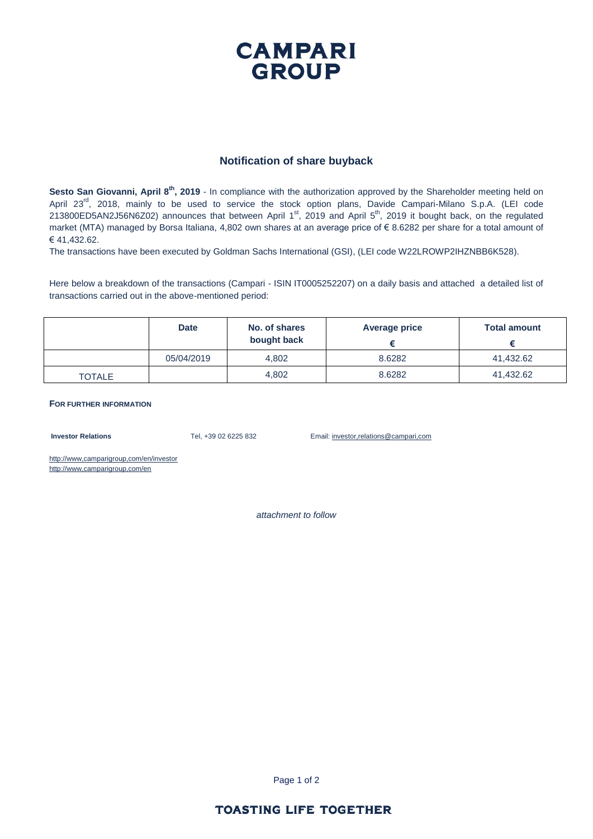## **CAMPARI GROUP**

#### **Notification of share buyback**

Sesto San Giovanni, April 8<sup>th</sup>, 2019 - In compliance with the authorization approved by the Shareholder meeting held on April 23<sup>rd</sup>, 2018, mainly to be used to service the stock option plans, Davide Campari-Milano S.p.A. (LEI code 213800ED5AN2J56N6Z02) announces that between April 1<sup>st</sup>, 2019 and April 5<sup>th</sup>, 2019 it bought back, on the regulated market (MTA) managed by Borsa Italiana, 4,802 own shares at an average price of € 8.6282 per share for a total amount of € 41,432.62.

The transactions have been executed by Goldman Sachs International (GSI), (LEI code W22LROWP2IHZNBB6K528).

Here below a breakdown of the transactions (Campari - ISIN IT0005252207) on a daily basis and attached a detailed list of transactions carried out in the above-mentioned period:

|               | <b>Date</b> | No. of shares<br>bought back | Average price | <b>Total amount</b> |
|---------------|-------------|------------------------------|---------------|---------------------|
|               | 05/04/2019  | 4.802                        | 8.6282        | 41,432.62           |
| <b>TOTALE</b> |             | 4,802                        | 8.6282        | 41,432.62           |

**FOR FURTHER INFORMATION**

**Investor Relations** Tel, +39 02 6225 832 Email: investor,relations@campari,com

http://www,camparigroup,com/en/investor http://www,camparigroup,com/en

*attachment to follow*

Page 1 of 2

#### **TOASTING LIFE TOGETHER**